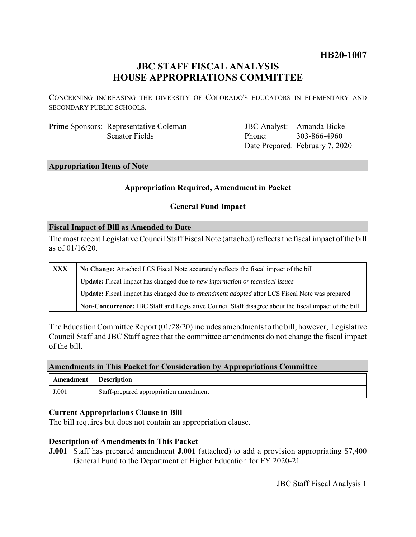## **HB20-1007**

# **JBC STAFF FISCAL ANALYSIS HOUSE APPROPRIATIONS COMMITTEE**

CONCERNING INCREASING THE DIVERSITY OF COLORADO'S EDUCATORS IN ELEMENTARY AND SECONDARY PUBLIC SCHOOLS.

Prime Sponsors: Representative Coleman Senator Fields

JBC Analyst: Amanda Bickel Phone: Date Prepared: February 7, 2020 303-866-4960

## **Appropriation Items of Note**

#### **Appropriation Required, Amendment in Packet**

### **General Fund Impact**

#### **Fiscal Impact of Bill as Amended to Date**

The most recent Legislative Council Staff Fiscal Note (attached) reflects the fiscal impact of the bill as of 01/16/20.

| <b>XXX</b> | No Change: Attached LCS Fiscal Note accurately reflects the fiscal impact of the bill                       |
|------------|-------------------------------------------------------------------------------------------------------------|
|            | Update: Fiscal impact has changed due to new information or technical issues                                |
|            | <b>Update:</b> Fiscal impact has changed due to <i>amendment adopted</i> after LCS Fiscal Note was prepared |
|            | Non-Concurrence: JBC Staff and Legislative Council Staff disagree about the fiscal impact of the bill       |

The Education Committee Report (01/28/20) includes amendments to the bill, however, Legislative Council Staff and JBC Staff agree that the committee amendments do not change the fiscal impact of the bill.

#### **Amendments in This Packet for Consideration by Appropriations Committee**

| Amendment | <b>Description</b>                     |
|-----------|----------------------------------------|
| J.001     | Staff-prepared appropriation amendment |

#### **Current Appropriations Clause in Bill**

The bill requires but does not contain an appropriation clause.

#### **Description of Amendments in This Packet**

**J.001** Staff has prepared amendment **J.001** (attached) to add a provision appropriating \$7,400 General Fund to the Department of Higher Education for FY 2020-21.